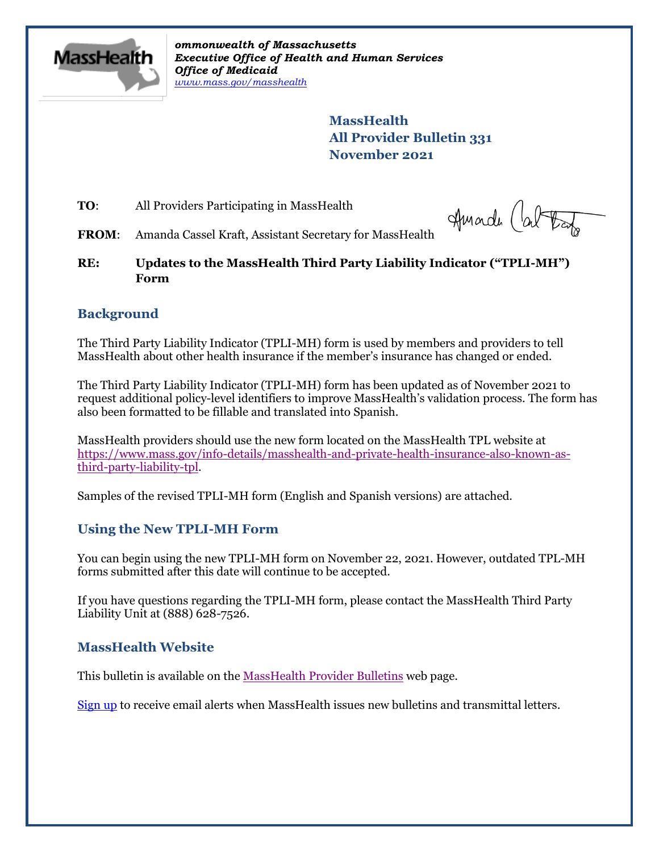

*ommonwealth of Massachusetts Executive Office of Health and Human Services Office of Medicaid [www.mass.gov/masshealth](http://www.mass.gov/masshealth)*

> **MassHealth All Provider Bulletin 331 November 2021**

**TO:** All Providers Participating in MassHealth

Huade Cal trap

**FROM**: Amanda Cassel Kraft, Assistant Secretary for MassHealth

**RE: Updates to the MassHealth Third Party Liability Indicator ("TPLI-MH") Form**

### **Background**

The Third Party Liability Indicator (TPLI-MH) form is used by members and providers to tell MassHealth about other health insurance if the member's insurance has changed or ended.

The Third Party Liability Indicator (TPLI-MH) form has been updated as of November 2021 to request additional policy-level identifiers to improve MassHealth's validation process. The form has also been formatted to be fillable and translated into Spanish.

MassHealth providers should use the new form located on the MassHealth TPL website at [https://www.mass.gov/info-details/masshealth-and-private-health-insurance-also-known-as](https://www.mass.gov/info-details/masshealth-and-private-health-insurance-also-known-as-third-party-liability-tpl)[third-party-liability-tpl.](https://www.mass.gov/info-details/masshealth-and-private-health-insurance-also-known-as-third-party-liability-tpl)

Samples of the revised TPLI-MH form (English and Spanish versions) are attached.

### **Using the New TPLI-MH Form**

You can begin using the new TPLI-MH form on November 22, 2021. However, outdated TPL-MH forms submitted after this date will continue to be accepted.

If you have questions regarding the TPLI-MH form, please contact the MassHealth Third Party Liability Unit at (888) 628-7526.

### **MassHealth Website**

This bulletin is available on th[e MassHealth Provider Bulletins](http://www.mass.gov/masshealth-provider-bulletins) web page.

[Sign up](https://www.mass.gov/forms/email-notifications-for-masshealth-provider-bulletins-and-transmittal-letters) to receive email alerts when MassHealth issues new bulletins and transmittal letters.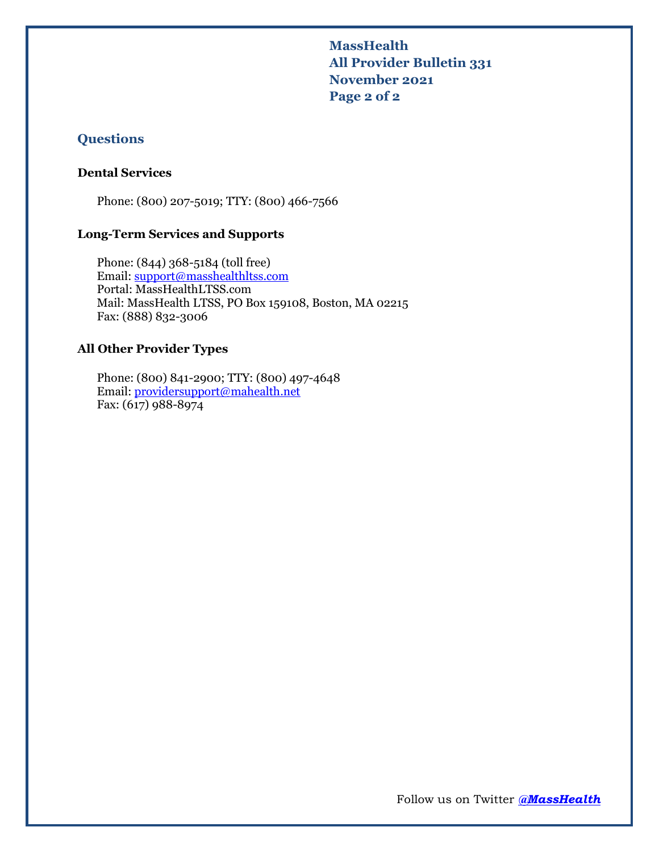**MassHealth All Provider Bulletin 331 November 2021 Page 2 of 2**

### **Questions**

### **Dental Services**

Phone: (800) 207-5019; TTY: (800) 466-7566

### **Long-Term Services and Supports**

Phone: (844) 368-5184 (toll free) Email: [support@masshealthltss.com](mailto:support@masshealthltss.com) Portal: MassHealthLTSS.com Mail: MassHealth LTSS, PO Box 159108, Boston, MA 02215 Fax: (888) 832-3006

### **All Other Provider Types**

Phone: (800) 841-2900; TTY: (800) 497-4648 Email: [providersupport@mahealth.net](mailto:providersupport@mahealth.net) Fax: (617) 988-8974

Follow us on Twitter *[@MassHealth](https://twitter.com/masshealth)*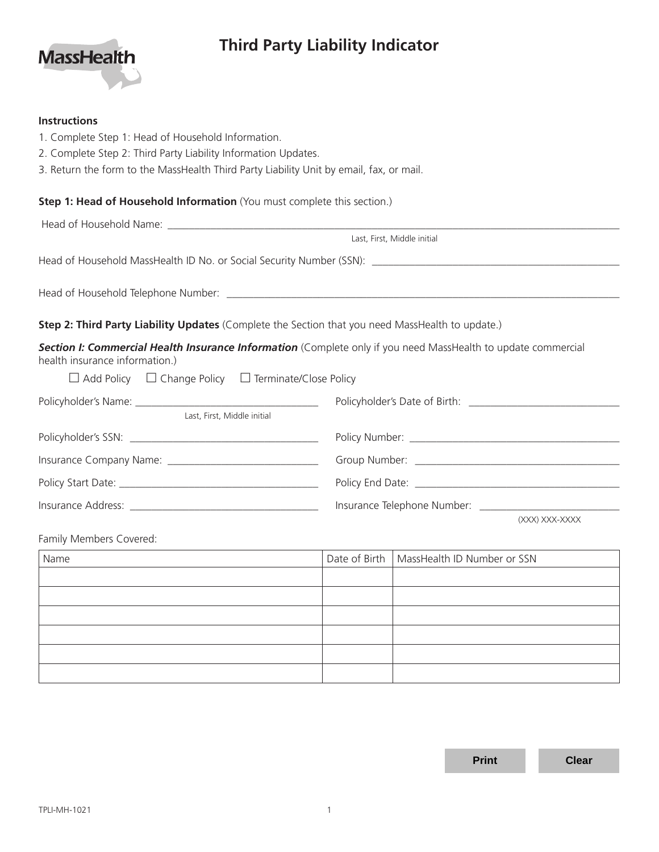# **Third Party Liability Indicator**



| <b>Instructions</b>                                                                                                                                                                                                                   |               |                             |  |  |  |
|---------------------------------------------------------------------------------------------------------------------------------------------------------------------------------------------------------------------------------------|---------------|-----------------------------|--|--|--|
| 1. Complete Step 1: Head of Household Information.                                                                                                                                                                                    |               |                             |  |  |  |
| 2. Complete Step 2: Third Party Liability Information Updates.                                                                                                                                                                        |               |                             |  |  |  |
| 3. Return the form to the MassHealth Third Party Liability Unit by email, fax, or mail.                                                                                                                                               |               |                             |  |  |  |
| Step 1: Head of Household Information (You must complete this section.)                                                                                                                                                               |               |                             |  |  |  |
|                                                                                                                                                                                                                                       |               |                             |  |  |  |
|                                                                                                                                                                                                                                       |               | Last, First, Middle initial |  |  |  |
|                                                                                                                                                                                                                                       |               |                             |  |  |  |
|                                                                                                                                                                                                                                       |               |                             |  |  |  |
| Step 2: Third Party Liability Updates (Complete the Section that you need MassHealth to update.)                                                                                                                                      |               |                             |  |  |  |
| Section I: Commercial Health Insurance Information (Complete only if you need MassHealth to update commercial<br>health insurance information.)                                                                                       |               |                             |  |  |  |
| $\Box$ Add Policy $\Box$ Change Policy $\Box$ Terminate/Close Policy                                                                                                                                                                  |               |                             |  |  |  |
|                                                                                                                                                                                                                                       |               |                             |  |  |  |
| Last, First, Middle initial                                                                                                                                                                                                           |               |                             |  |  |  |
|                                                                                                                                                                                                                                       |               |                             |  |  |  |
|                                                                                                                                                                                                                                       |               |                             |  |  |  |
|                                                                                                                                                                                                                                       |               |                             |  |  |  |
|                                                                                                                                                                                                                                       |               |                             |  |  |  |
|                                                                                                                                                                                                                                       |               | (XXX) XXX-XXXX              |  |  |  |
| Family Members Covered:                                                                                                                                                                                                               |               |                             |  |  |  |
| Name<br>the control of the control of the control of the control of the control of the control of the control of the control of the control of the control of the control of the control of the control of the control of the control | Date of Birth | MassHealth ID Number or SSN |  |  |  |
|                                                                                                                                                                                                                                       |               |                             |  |  |  |
|                                                                                                                                                                                                                                       |               |                             |  |  |  |
|                                                                                                                                                                                                                                       |               |                             |  |  |  |
|                                                                                                                                                                                                                                       |               |                             |  |  |  |
|                                                                                                                                                                                                                                       |               |                             |  |  |  |
|                                                                                                                                                                                                                                       |               |                             |  |  |  |

**Print Clear**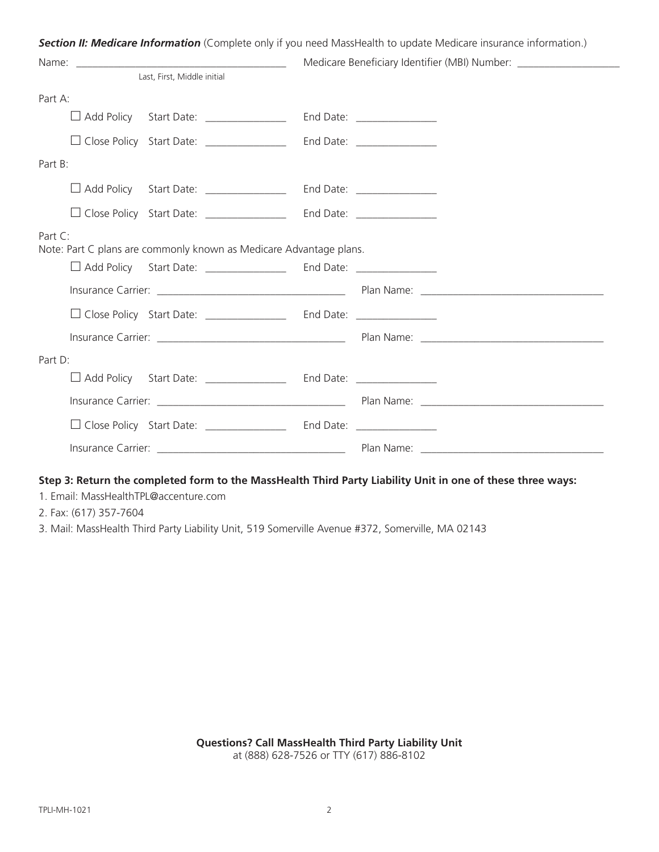|         |                                                                                                                                                                                                                                | <b>Section II: Medicare Information</b> (Complete only if you need MassHealth to update Medicare insurance information.)                                                                                                       |
|---------|--------------------------------------------------------------------------------------------------------------------------------------------------------------------------------------------------------------------------------|--------------------------------------------------------------------------------------------------------------------------------------------------------------------------------------------------------------------------------|
|         | Name: when the contract of the contract of the contract of the contract of the contract of the contract of the contract of the contract of the contract of the contract of the contract of the contract of the contract of the | Medicare Beneficiary Identifier (MBI) Number: _____________________                                                                                                                                                            |
|         | Last, First, Middle initial                                                                                                                                                                                                    |                                                                                                                                                                                                                                |
| Part A: |                                                                                                                                                                                                                                |                                                                                                                                                                                                                                |
|         | Add Policy Start Date: _______________                                                                                                                                                                                         | End Date: ________________                                                                                                                                                                                                     |
|         | □ Close Policy Start Date: _______________                                                                                                                                                                                     | End Date: _______________                                                                                                                                                                                                      |
| Part B: |                                                                                                                                                                                                                                |                                                                                                                                                                                                                                |
|         | Add Policy Start Date: _______________                                                                                                                                                                                         | End Date: ________________                                                                                                                                                                                                     |
|         | $\Box$ Close Policy Start Date: _______________                                                                                                                                                                                | End Date: _______________                                                                                                                                                                                                      |
| Part C: | Note: Part C plans are commonly known as Medicare Advantage plans.                                                                                                                                                             |                                                                                                                                                                                                                                |
|         | □ Add Policy Start Date: ________________ End Date: ______________                                                                                                                                                             |                                                                                                                                                                                                                                |
|         |                                                                                                                                                                                                                                |                                                                                                                                                                                                                                |
|         |                                                                                                                                                                                                                                |                                                                                                                                                                                                                                |
|         |                                                                                                                                                                                                                                | Insurance Carrier: New York Carrier: New York Carrier: New York Carrier: New York Carrier: New York Carrier: New York Carrier: New York Carrier: New York Carrier: New York Carrier: New York Carrier: New York Carrier: New Y |
| Part D: |                                                                                                                                                                                                                                |                                                                                                                                                                                                                                |
|         | □ Add Policy Start Date: _______________ End Date: ______________                                                                                                                                                              |                                                                                                                                                                                                                                |
|         |                                                                                                                                                                                                                                |                                                                                                                                                                                                                                |
|         | □ Close Policy Start Date: _______________ End Date: ____________                                                                                                                                                              |                                                                                                                                                                                                                                |
|         |                                                                                                                                                                                                                                | Plan Name: 1999 - 1999 - 1999 - 1999 - 1999 - 1999 - 1999 - 1999 - 1999 - 1999 - 1999 - 1999 - 1999 - 1999 - 1                                                                                                                 |

## 1. Email: MassHealthTPL@accenture.com

2. Fax: (617) 357-7604

3. Mail: MassHealth Third Party Liability Unit, 519 Somerville Avenue #372, Somerville, MA 02143

**Questions? Call MassHealth Third Party Liability Unit** 

at (888) 628-7526 or TTY (617) 886-8102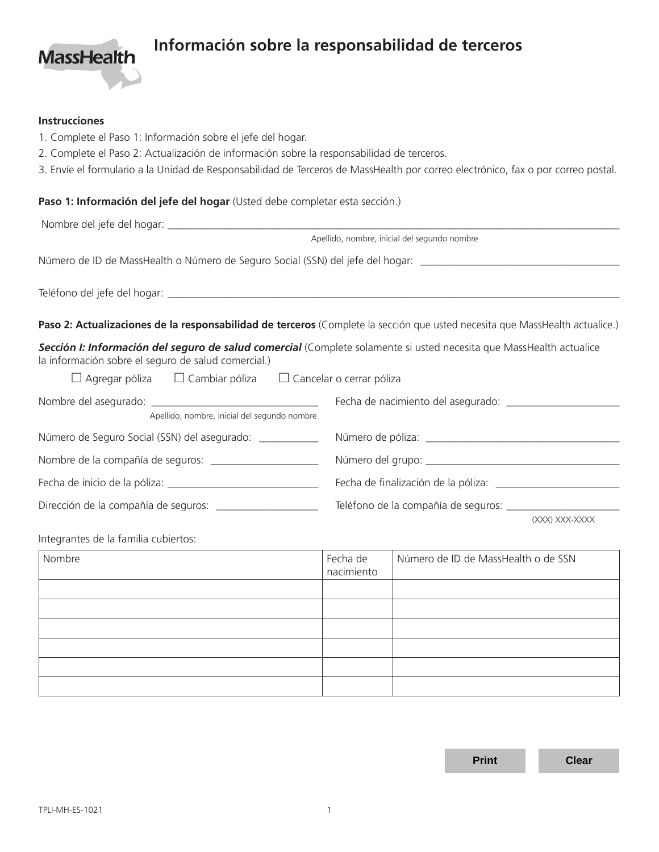

## **Información sobre la responsabilidad de terceros**

### **Instrucciones**

- 1. Complete el Paso 1: Información sobre el jefe del hogar.
- 2. Complete el Paso 2: Actualización de información sobre la responsabilidad de terceros.
- 3. Envíe el formulario a la Unidad de Responsabilidad de Terceros de MassHealth por correo electrónico, fax o por correo postal.

### **Paso 1: Información del jefe del hogar** (Usted debe completar esta sección.)

|                                                                                                                                                                            | Apellido, nombre, inicial del segundo nombre                                                                                 |  |  |  |  |
|----------------------------------------------------------------------------------------------------------------------------------------------------------------------------|------------------------------------------------------------------------------------------------------------------------------|--|--|--|--|
| Número de ID de MassHealth o Número de Seguro Social (SSN) del jefe del hogar: _______________________________                                                             |                                                                                                                              |  |  |  |  |
|                                                                                                                                                                            |                                                                                                                              |  |  |  |  |
|                                                                                                                                                                            | Paso 2: Actualizaciones de la responsabilidad de terceros (Complete la sección que usted necesita que MassHealth actualice.) |  |  |  |  |
| Sección I: Información del seguro de salud comercial (Complete solamente si usted necesita que MassHealth actualice<br>la información sobre el seguro de salud comercial.) |                                                                                                                              |  |  |  |  |
| $\Box$ Agregar póliza $\Box$ Cambiar póliza $\Box$ Cancelar o cerrar póliza                                                                                                |                                                                                                                              |  |  |  |  |
| Apellido, nombre, inicial del segundo nombre                                                                                                                               |                                                                                                                              |  |  |  |  |
| Número de Seguro Social (SSN) del asegurado: ____________                                                                                                                  |                                                                                                                              |  |  |  |  |
| Nombre de la compañía de seguros: _______________________                                                                                                                  |                                                                                                                              |  |  |  |  |
|                                                                                                                                                                            |                                                                                                                              |  |  |  |  |
| Dirección de la compañía de seguros: ______________________                                                                                                                |                                                                                                                              |  |  |  |  |
|                                                                                                                                                                            | (XXX) XXX-XXXX                                                                                                               |  |  |  |  |
| Integrantes de la familia cubiertos:                                                                                                                                       |                                                                                                                              |  |  |  |  |

| Nombre | Fecha de<br>nacimiento | Número de ID de MassHealth o de SSN |
|--------|------------------------|-------------------------------------|
|        |                        |                                     |
|        |                        |                                     |
|        |                        |                                     |
|        |                        |                                     |
|        |                        |                                     |
|        |                        |                                     |

**Print Clear**